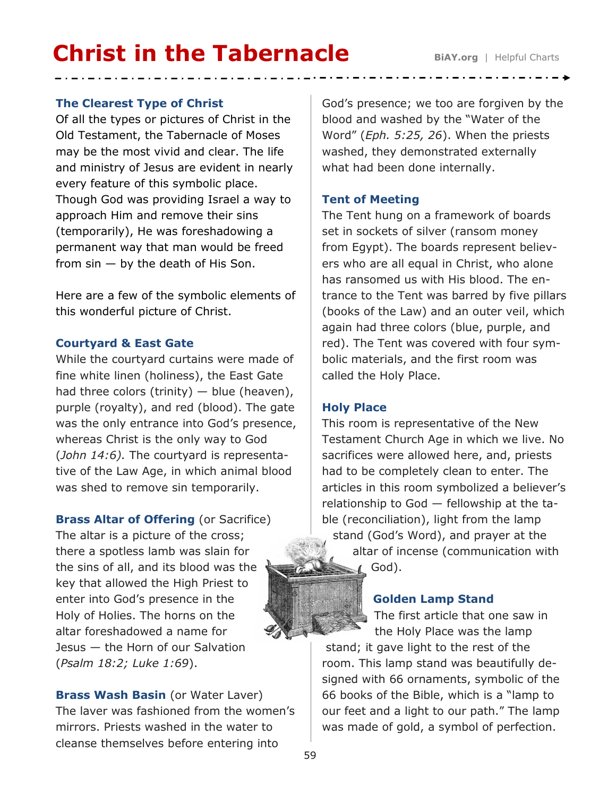# **Christ in the Tabernacle** BiAY.org | Helpful Charts

#### **The Clearest Type of Christ**

Of all the types or pictures of Christ in the Old Testament, the Tabernacle of Moses may be the most vivid and clear. The life and ministry of Jesus are evident in nearly every feature of this symbolic place. Though God was providing Israel a way to approach Him and remove their sins (temporarily), He was foreshadowing a permanent way that man would be freed from  $sin - by$  the death of His Son.

Here are a few of the symbolic elements of this wonderful picture of Christ.

#### **Courtyard & East Gate**

While the courtyard curtains were made of fine white linen (holiness), the East Gate had three colors (trinity)  $-$  blue (heaven), purple (royalty), and red (blood). The gate was the only entrance into God's presence, whereas Christ is the only way to God (*John 14:6).* The courtyard is representative of the Law Age, in which animal blood was shed to remove sin temporarily.

**Brass Altar of Offering (or Sacrifice)** The altar is a picture of the cross; there a spotless lamb was slain for the sins of all, and its blood was the key that allowed the High Priest to enter into God's presence in the Holy of Holies. The horns on the altar foreshadowed a name for Jesus — the Horn of our Salvation (*Psalm 18:2; Luke 1:69*).

**Brass Wash Basin** (or Water Laver) The laver was fashioned from the women's mirrors. Priests washed in the water to cleanse themselves before entering into

God's presence; we too are forgiven by the blood and washed by the "Water of the Word" (*Eph. 5:25, 26*). When the priests washed, they demonstrated externally what had been done internally.

## **Tent of Meeting**

The Tent hung on a framework of boards set in sockets of silver (ransom money from Egypt). The boards represent believers who are all equal in Christ, who alone has ransomed us with His blood. The entrance to the Tent was barred by five pillars (books of the Law) and an outer veil, which again had three colors (blue, purple, and red). The Tent was covered with four symbolic materials, and the first room was called the Holy Place.

# **Holy Place**

This room is representative of the New Testament Church Age in which we live. No sacrifices were allowed here, and, priests had to be completely clean to enter. The articles in this room symbolized a believer's relationship to God — fellowship at the table (reconciliation), light from the lamp stand (God's Word), and prayer at the altar of incense (communication with God).

#### **Golden Lamp Stand**

The first article that one saw in the Holy Place was the lamp

stand; it gave light to the rest of the room. This lamp stand was beautifully designed with 66 ornaments, symbolic of the 66 books of the Bible, which is a "lamp to our feet and a light to our path." The lamp was made of gold, a symbol of perfection.